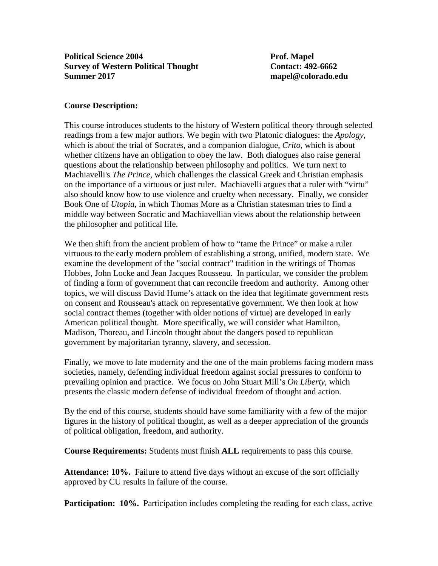## **Course Description:**

This course introduces students to the history of Western political theory through selected readings from a few major authors. We begin with two Platonic dialogues: the *Apology*, which is about the trial of Socrates, and a companion dialogue, *Crito*, which is about whether citizens have an obligation to obey the law. Both dialogues also raise general questions about the relationship between philosophy and politics. We turn next to Machiavelli's *The Prince*, which challenges the classical Greek and Christian emphasis on the importance of a virtuous or just ruler. Machiavelli argues that a ruler with "virtu" also should know how to use violence and cruelty when necessary. Finally, we consider Book One of *Utopia*, in which Thomas More as a Christian statesman tries to find a middle way between Socratic and Machiavellian views about the relationship between the philosopher and political life.

We then shift from the ancient problem of how to "tame the Prince" or make a ruler virtuous to the early modern problem of establishing a strong, unified, modern state. We examine the development of the "social contract" tradition in the writings of Thomas Hobbes, John Locke and Jean Jacques Rousseau. In particular, we consider the problem of finding a form of government that can reconcile freedom and authority. Among other topics, we will discuss David Hume's attack on the idea that legitimate government rests on consent and Rousseau's attack on representative government. We then look at how social contract themes (together with older notions of virtue) are developed in early American political thought. More specifically, we will consider what Hamilton, Madison, Thoreau, and Lincoln thought about the dangers posed to republican government by majoritarian tyranny, slavery, and secession.

Finally, we move to late modernity and the one of the main problems facing modern mass societies, namely, defending individual freedom against social pressures to conform to prevailing opinion and practice. We focus on John Stuart Mill's *On Liberty*, which presents the classic modern defense of individual freedom of thought and action.

By the end of this course, students should have some familiarity with a few of the major figures in the history of political thought, as well as a deeper appreciation of the grounds of political obligation, freedom, and authority.

**Course Requirements:** Students must finish **ALL** requirements to pass this course.

**Attendance: 10%.** Failure to attend five days without an excuse of the sort officially approved by CU results in failure of the course.

**Participation: 10%.** Participation includes completing the reading for each class, active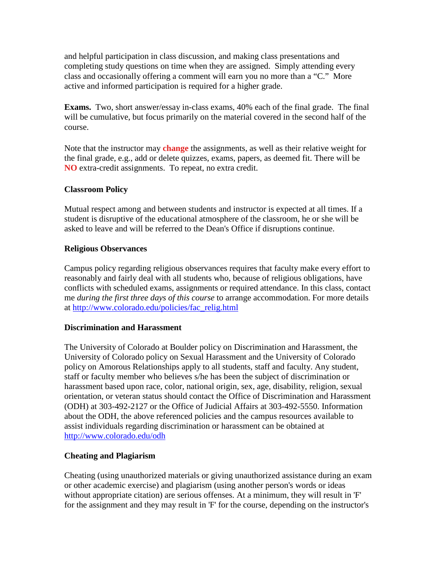and helpful participation in class discussion, and making class presentations and completing study questions on time when they are assigned. Simply attending every class and occasionally offering a comment will earn you no more than a "C." More active and informed participation is required for a higher grade.

**Exams.** Two, short answer/essay in-class exams, 40% each of the final grade. The final will be cumulative, but focus primarily on the material covered in the second half of the course.

Note that the instructor may **change** the assignments, as well as their relative weight for the final grade, e.g., add or delete quizzes, exams, papers, as deemed fit. There will be **NO** extra-credit assignments. To repeat, no extra credit.

#### **Classroom Policy**

Mutual respect among and between students and instructor is expected at all times. If a student is disruptive of the educational atmosphere of the classroom, he or she will be asked to leave and will be referred to the Dean's Office if disruptions continue.

#### **Religious Observances**

Campus policy regarding religious observances requires that faculty make every effort to reasonably and fairly deal with all students who, because of religious obligations, have conflicts with scheduled exams, assignments or required attendance. In this class, contact me *during the first three days of this course* to arrange accommodation. For more details at [http://www.colorado.edu/policies/fac\\_relig.html](http://www.colorado.edu/policies/fac_relig.html)

#### **Discrimination and Harassment**

The University of Colorado at Boulder policy on Discrimination and Harassment, the University of Colorado policy on Sexual Harassment and the University of Colorado policy on Amorous Relationships apply to all students, staff and faculty. Any student, staff or faculty member who believes s/he has been the subject of discrimination or harassment based upon race, color, national origin, sex, age, disability, religion, sexual orientation, or veteran status should contact the Office of Discrimination and Harassment (ODH) at 303-492-2127 or the Office of Judicial Affairs at 303-492-5550. Information about the ODH, the above referenced policies and the campus resources available to assist individuals regarding discrimination or harassment can be obtained at <http://www.colorado.edu/odh>

## **Cheating and Plagiarism**

Cheating (using unauthorized materials or giving unauthorized assistance during an exam or other academic exercise) and plagiarism (using another person's words or ideas without appropriate citation) are serious offenses. At a minimum, they will result in 'F' for the assignment and they may result in 'F' for the course, depending on the instructor's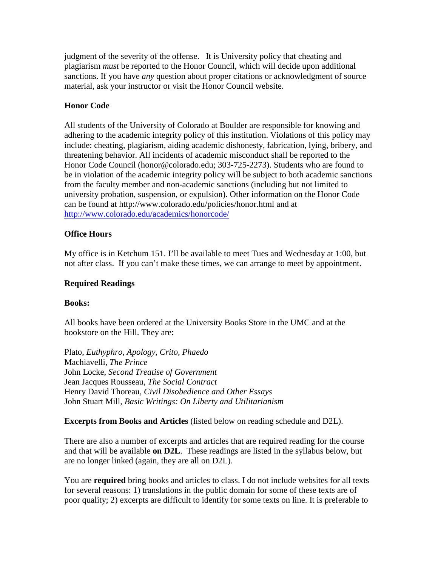judgment of the severity of the offense. It is University policy that cheating and plagiarism *must* be reported to the Honor Council, which will decide upon additional sanctions. If you have *any* question about proper citations or acknowledgment of source material, ask your instructor or visit the Honor Council website.

## **Honor Code**

All students of the University of Colorado at Boulder are responsible for knowing and adhering to the academic integrity policy of this institution. Violations of this policy may include: cheating, plagiarism, aiding academic dishonesty, fabrication, lying, bribery, and threatening behavior. All incidents of academic misconduct shall be reported to the Honor Code Council (honor@colorado.edu; 303-725-2273). Students who are found to be in violation of the academic integrity policy will be subject to both academic sanctions from the faculty member and non-academic sanctions (including but not limited to university probation, suspension, or expulsion). Other information on the Honor Code can be found at http://www.colorado.edu/policies/honor.html and at <http://www.colorado.edu/academics/honorcode/>

## **Office Hours**

My office is in Ketchum 151. I'll be available to meet Tues and Wednesday at 1:00, but not after class. If you can't make these times, we can arrange to meet by appointment.

## **Required Readings**

## **Books:**

All books have been ordered at the University Books Store in the UMC and at the bookstore on the Hill. They are:

Plato, *Euthyphro, Apology, Crito, Phaedo* Machiavelli*, The Prince*  John Locke, *Second Treatise of Government* Jean Jacques Rousseau, *The Social Contract* Henry David Thoreau, *Civil Disobedience and Other Essays* John Stuart Mill*, Basic Writings: On Liberty and Utilitarianism*

## **Excerpts from Books and Articles** (listed below on reading schedule and D2L).

There are also a number of excerpts and articles that are required reading for the course and that will be available **on D2L**. These readings are listed in the syllabus below, but are no longer linked (again, they are all on D2L).

You are **required** bring books and articles to class. I do not include websites for all texts for several reasons: 1) translations in the public domain for some of these texts are of poor quality; 2) excerpts are difficult to identify for some texts on line. It is preferable to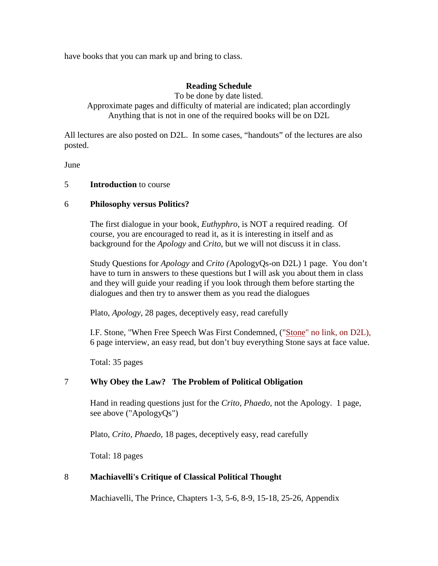have books that you can mark up and bring to class.

## **Reading Schedule**

To be done by date listed. Approximate pages and difficulty of material are indicated; plan accordingly Anything that is not in one of the required books will be on D2L

All lectures are also posted on D2L. In some cases, "handouts" of the lectures are also posted.

June

#### 5 **Introduction** to course

#### 6 **Philosophy versus Politics?**

The first dialogue in your book, *Euthyphro*, is NOT a required reading. Of course, you are encouraged to read it, as it is interesting in itself and as background for the *Apology* and *Crito*, but we will not discuss it in class.

Study Questions for *Apology* and *Crito (*ApologyQs-on D2L) 1 page. You don't have to turn in answers to these questions but I will ask you about them in class and they will guide your reading if you look through them before starting the dialogues and then try to answer them as you read the dialogues

Plato, *Apology,* 28 pages, deceptively easy, read carefully

I.F. Stone, "When Free Speech Was First Condemned, ("Stone" no link, on D2L), 6 page interview, an easy read, but don't buy everything Stone says at face value.

Total: 35 pages

## 7 **Why Obey the Law? The Problem of Political Obligation**

Hand in reading questions just for the *Crito, Phaedo*, not the Apology. 1 page, see above ("ApologyQs")

Plato, *Crito, Phaedo*, 18 pages, deceptively easy, read carefully

Total: 18 pages

## 8 **Machiavelli's Critique of Classical Political Thought**

Machiavelli, The Prince, Chapters 1-3, 5-6, 8-9, 15-18, 25-26, Appendix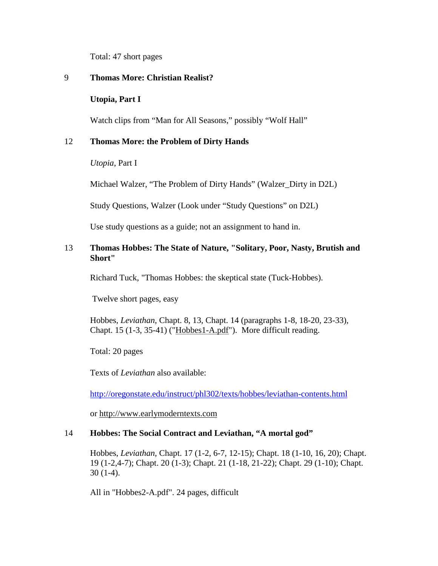Total: 47 short pages

#### 9 **Thomas More: Christian Realist?**

#### **Utopia, Part I**

Watch clips from "Man for All Seasons," possibly "Wolf Hall"

#### 12 **Thomas More: the Problem of Dirty Hands**

*Utopia*, Part I

Michael Walzer, "The Problem of Dirty Hands" (Walzer\_Dirty in D2L)

Study Questions, Walzer (Look under "Study Questions" on D2L)

Use study questions as a guide; not an assignment to hand in.

#### 13 **Thomas Hobbes: The State of Nature, "Solitary, Poor, Nasty, Brutish and Short"**

Richard Tuck, "Thomas Hobbes: the skeptical state (Tuck-Hobbes).

Twelve short pages, easy

Hobbes, *Leviathan*, Chapt. 8, 13, Chapt. 14 (paragraphs 1-8, 18-20, 23-33), Chapt. 15 (1-3, 35-41) (["Hobbes1-A.pdf"](http://spot.colorado.edu/PROTECTED/Summer2004/Hobbes1-A.pdf)). More difficult reading.

Total: 20 pages

Texts of *Leviathan* also available:

<http://oregonstate.edu/instruct/phl302/texts/hobbes/leviathan-contents.html>

or [http://www.earlymoderntexts.com](http://www.earlymoderntexts.com/)

#### 14 **Hobbes: The Social Contract and Leviathan, "A mortal god"**

Hobbes, *Leviathan*, Chapt. 17 (1-2, 6-7, 12-15); Chapt. 18 (1-10, 16, 20); Chapt. 19 (1-2,4-7); Chapt. 20 (1-3); Chapt. 21 (1-18, 21-22); Chapt. 29 (1-10); Chapt. 30 (1-4).

All in "Hobbes2-A.pdf". 24 pages, difficult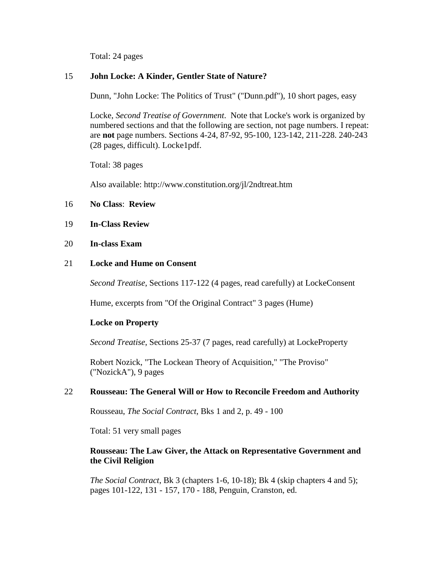Total: 24 pages

#### 15 **John Locke: A Kinder, Gentler State of Nature?**

Dunn, "John Locke: The Politics of Trust" ("Dunn.pdf"), 10 short pages, easy

Locke, *Second Treatise of Government*. Note that Locke's work is organized by numbered sections and that the following are section, not page numbers. I repeat: are **not** page numbers. Sections 4-24, 87-92, 95-100, 123-142, 211-228. 240-243 (28 pages, difficult). Locke1pdf.

Total: 38 pages

Also available: http://www.constitution.org/jl/2ndtreat.htm

#### 16 **No Class**: **Review**

#### 19 **In-Class Review**

#### 20 **In-class Exam**

#### 21 **Locke and Hume on Consent**

*Second Treatise*, Sections 117-122 (4 pages, read carefully) at LockeConsent

Hume, excerpts from "Of the Original Contract" 3 pages (Hume)

#### **Locke on Property**

*Second Treatise*, Sections 25-37 (7 pages, read carefully) at LockeProperty

Robert Nozick, "The Lockean Theory of Acquisition," "The Proviso" ("NozickA"), 9 pages

#### 22 **Rousseau: The General Will or How to Reconcile Freedom and Authority**

Rousseau, *The Social Contract*, Bks 1 and 2, p. 49 - 100

Total: 51 very small pages

#### **Rousseau: The Law Giver, the Attack on Representative Government and the Civil Religion**

*The Social Contract*, Bk 3 (chapters 1-6, 10-18); Bk 4 (skip chapters 4 and 5); pages 101-122, 131 - 157, 170 - 188, Penguin, Cranston, ed.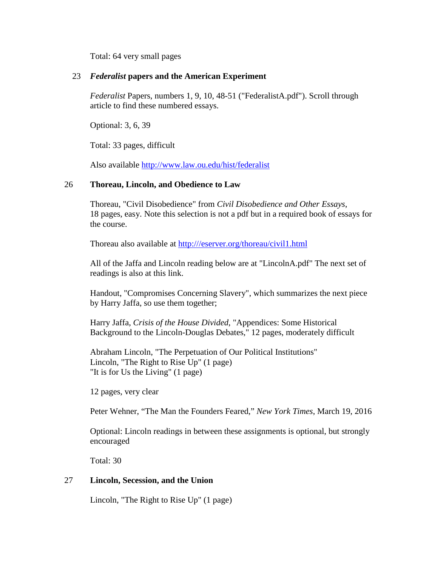Total: 64 very small pages

#### 23 *Federalist* **papers and the American Experiment**

*Federalist* Papers, numbers 1, 9, 10, 48-51 ("FederalistA.pdf"). Scroll through article to find these numbered essays.

Optional: 3, 6, 39

Total: 33 pages, difficult

Also available<http://www.law.ou.edu/hist/federalist>

## 26 **Thoreau, Lincoln, and Obedience to Law**

Thoreau, "Civil Disobedience" from *Civil Disobedience and Other Essays*, 18 pages, easy. Note this selection is not a pdf but in a required book of essays for the course.

Thoreau also available at [http:///eserver.org/thoreau/civil1.html](http://eserver.org/thoreau/civil1.html)

All of the Jaffa and Lincoln reading below are at "LincolnA.pdf" The next set of readings is also at this link.

Handout, "Compromises Concerning Slavery", which summarizes the next piece by Harry Jaffa, so use them together;

Harry Jaffa, *Crisis of the House Divided*, "Appendices: Some Historical Background to the Lincoln-Douglas Debates," 12 pages, moderately difficult

Abraham Lincoln, "The Perpetuation of Our Political Institutions" Lincoln, "The Right to Rise Up" (1 page) "It is for Us the Living" (1 page)

12 pages, very clear

Peter Wehner, "The Man the Founders Feared," *New York Times*, March 19, 2016

Optional: Lincoln readings in between these assignments is optional, but strongly encouraged

Total: 30

## 27 **Lincoln, Secession, and the Union**

Lincoln, "The Right to Rise Up" (1 page)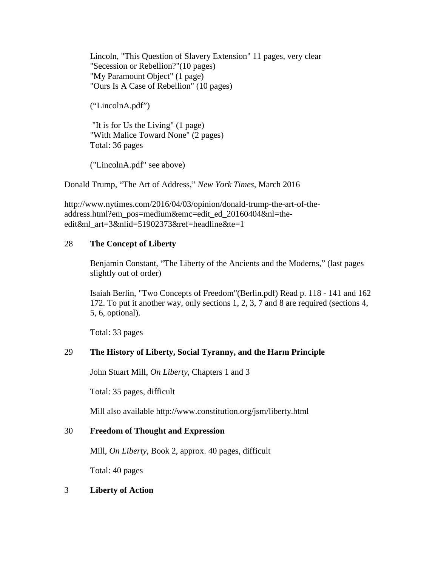Lincoln, "This Question of Slavery Extension" 11 pages, very clear "Secession or Rebellion?"(10 pages) "My Paramount Object" (1 page) "Ours Is A Case of Rebellion" (10 pages)

("LincolnA.pdf")

"It is for Us the Living" (1 page) "With Malice Toward None" (2 pages) Total: 36 pages

("LincolnA.pdf" see above)

Donald Trump, "The Art of Address," *New York Times*, March 2016

http://www.nytimes.com/2016/04/03/opinion/donald-trump-the-art-of-theaddress.html?em\_pos=medium&emc=edit\_ed\_20160404&nl=theedit&nl art=3&nlid=51902373&ref=headline&te=1

#### 28 **The Concept of Liberty**

Benjamin Constant, "The Liberty of the Ancients and the Moderns," (last pages slightly out of order)

Isaiah Berlin, "Two Concepts of Freedom"(Berlin.pdf) Read p. 118 - 141 and 162 172. To put it another way, only sections 1, 2, 3, 7 and 8 are required (sections 4, 5, 6, optional).

Total: 33 pages

## 29 **The History of Liberty, Social Tyranny, and the Harm Principle**

John Stuart Mill, *On Liberty*, Chapters 1 and 3

Total: 35 pages, difficult

Mill also available http://www.constitution.org/jsm/liberty.html

#### 30 **Freedom of Thought and Expression**

Mill, *On Liberty*, Book 2, approx. 40 pages, difficult

Total: 40 pages

#### 3 **Liberty of Action**